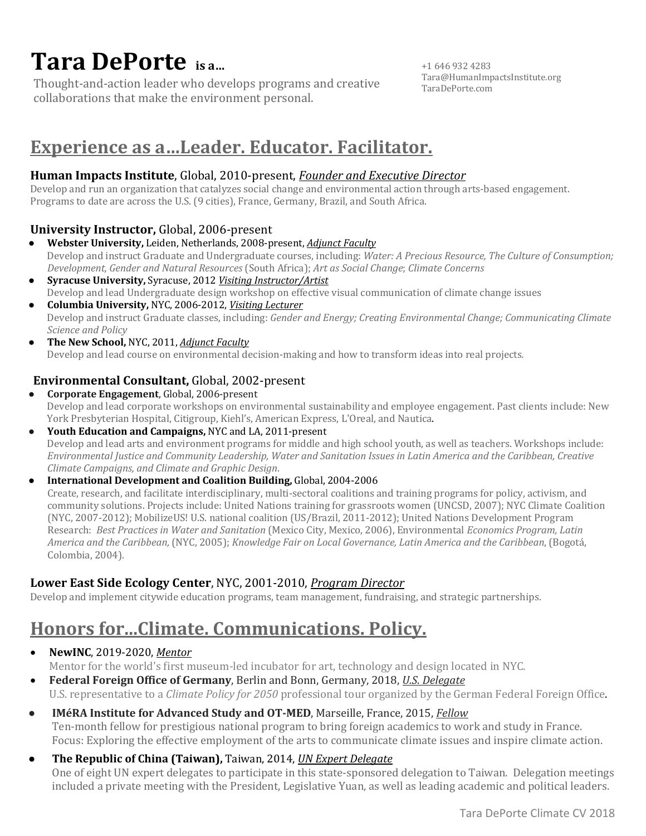# **Tara DePorte** *isa...*

Thought-and-action leader who develops programs and creative collaborations that make the environment personal.

+1 646 932 4283 Tara@HumanImpactsInstitute.org TaraDePorte.com

# **Experience as a...Leader. Educator. Facilitator.**

### **Human Impacts Institute**, Global, 2010-present, *Founder and Executive Director*

Develop and run an organization that catalyzes social change and environmental action through arts-based engagement. Programs to date are across the U.S. (9 cities), France, Germany, Brazil, and South Africa.

### **University Instructor, Global, 2006-present**

- **Webster University,** Leiden, Netherlands, 2008-present, *Adjunct Faculty* Develop and instruct Graduate and Undergraduate courses, including: *Water: A Precious Resource, The Culture of Consumption; Development, Gender and Natural Resources* (South Africa); *Art as Social Change*; *Climate Concerns*
- **• Syracuse University,** Syracuse, 2012 *Visiting Instructor/Artist* Develop and lead Undergraduate design workshop on effective visual communication of climate change issues
- **Columbia University,** NYC, 2006-2012, *Visiting Lecturer* Develop and instruct Graduate classes, including: *Gender and Energy; Creating Environmental Change; Communicating Climate Science and Policy*
- **The New School, NYC, 2011, Adjunct Faculty** Develop and lead course on environmental decision-making and how to transform ideas into real projects.

### **Environmental Consultant, Global, 2002-present**

**• Corporate Engagement**, Global, 2006-present Develop and lead corporate workshops on environmental sustainability and employee engagement. Past clients include: New York Presbyterian Hospital, Citigroup, Kiehl's, American Express, L'Oreal, and Nautica.

#### • Youth Education and Campaigns, NYC and LA, 2011-present Develop and lead arts and environment programs for middle and high school youth, as well as teachers. Workshops include: *Environmental Justice and Community Leadership, Water and Sanitation Issues in Latin America and the Caribbean, Creative Climate Campaigns, and Climate and Graphic Design*.

#### **•** International Development and Coalition Building, Global, 2004-2006

Create, research, and facilitate interdisciplinary, multi-sectoral coalitions and training programs for policy, activism, and community solutions. Projects include: United Nations training for grassroots women (UNCSD, 2007); NYC Climate Coalition (NYC, 2007-2012); MobilizeUS! U.S. national coalition (US/Brazil, 2011-2012); United Nations Development Program Research: Best Practices in Water and Sanitation (Mexico City, Mexico, 2006), Environmental *Economics Program, Latin America and the Caribbean,* (NYC, 2005); *Knowledge Fair on Local Governance, Latin America and the Caribbean*, (Bogotá, Colombia, 2004).

### Lower East Side Ecology Center, NYC, 2001-2010, *Program Director*

Develop and implement citywide education programs, team management, fundraising, and strategic partnerships.

# Honors for...Climate. Communications. Policy.

• **NewINC**, 2019-2020, Mentor

Mentor for the world's first museum-led incubator for art, technology and design located in NYC.

- **Federal Foreign Office of Germany**, Berlin and Bonn, Germany, 2018, *U.S. Delegate* U.S. representative to a *Climate Policy for 2050* professional tour organized by the German Federal Foreign Office.
- **IMéRA Institute for Advanced Study and OT-MED**, Marseille, France, 2015, *Fellow* Ten-month fellow for prestigious national program to bring foreign academics to work and study in France. Focus: Exploring the effective employment of the arts to communicate climate issues and inspire climate action.
- **The Republic of China (Taiwan),** Taiwan, 2014, *UN Expert Delegate* One of eight UN expert delegates to participate in this state-sponsored delegation to Taiwan. Delegation meetings included a private meeting with the President, Legislative Yuan, as well as leading academic and political leaders.